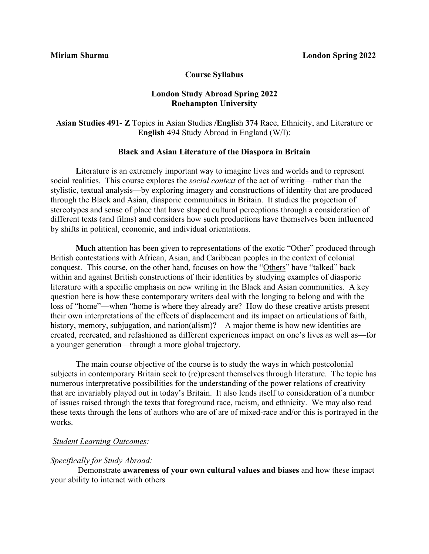#### **Course Syllabus**

## **London Study Abroad Spring 2022 Roehampton University**

# **Asian Studies 491- Z** Topics in Asian Studies **/Englis**h **374** Race, Ethnicity, and Literature or **English** 494 Study Abroad in England (W/I):

#### **Black and Asian Literature of the Diaspora in Britain**

**L**iterature is an extremely important way to imagine lives and worlds and to represent social realities. This course explores the *social context* of the act of writing—rather than the stylistic, textual analysis—by exploring imagery and constructions of identity that are produced through the Black and Asian, diasporic communities in Britain. It studies the projection of stereotypes and sense of place that have shaped cultural perceptions through a consideration of different texts (and films) and considers how such productions have themselves been influenced by shifts in political, economic, and individual orientations.

**M**uch attention has been given to representations of the exotic "Other" produced through British contestations with African, Asian, and Caribbean peoples in the context of colonial conquest. This course, on the other hand, focuses on how the "Others" have "talked" back within and against British constructions of their identities by studying examples of diasporic literature with a specific emphasis on new writing in the Black and Asian communities. A key question here is how these contemporary writers deal with the longing to belong and with the loss of "home"—when "home is where they already are? How do these creative artists present their own interpretations of the effects of displacement and its impact on articulations of faith, history, memory, subjugation, and nation(alism)? A major theme is how new identities are created, recreated, and refashioned as different experiences impact on one's lives as well as—for a younger generation—through a more global trajectory.

**T**he main course objective of the course is to study the ways in which postcolonial subjects in contemporary Britain seek to (re)present themselves through literature. The topic has numerous interpretative possibilities for the understanding of the power relations of creativity that are invariably played out in today's Britain. It also lends itself to consideration of a number of issues raised through the texts that foreground race, racism, and ethnicity. We may also read these texts through the lens of authors who are of are of mixed-race and/or this is portrayed in the works.

### *Student Learning Outcomes:*

#### *Specifically for Study Abroad:*

Demonstrate **awareness of your own cultural values and biases** and how these impact your ability to interact with others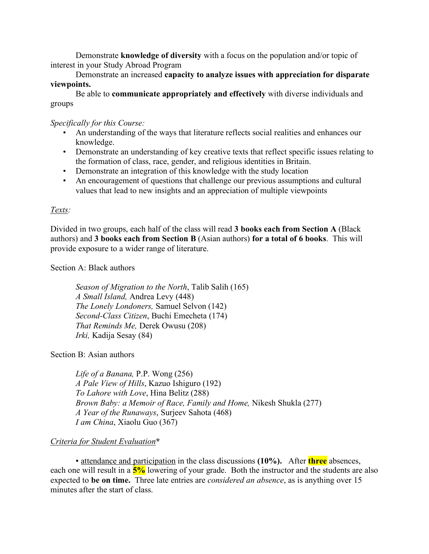Demonstrate **knowledge of diversity** with a focus on the population and/or topic of interest in your Study Abroad Program

Demonstrate an increased **capacity to analyze issues with appreciation for disparate viewpoints.**

Be able to **communicate appropriately and effectively** with diverse individuals and groups

*Specifically for this Course:*

- An understanding of the ways that literature reflects social realities and enhances our knowledge.
- Demonstrate an understanding of key creative texts that reflect specific issues relating to the formation of class, race, gender, and religious identities in Britain.
- Demonstrate an integration of this knowledge with the study location
- An encouragement of questions that challenge our previous assumptions and cultural values that lead to new insights and an appreciation of multiple viewpoints

# *Texts:*

Divided in two groups, each half of the class will read **3 books each from Section A** (Black authors) and **3 books each from Section B** (Asian authors) **for a total of 6 books**. This will provide exposure to a wider range of literature.

Section A: Black authors

 *Season of Migration to the North*, Talib Salih (165) *A Small Island,* Andrea Levy (448)  *The Lonely Londoners,* Samuel Selvon (142) *Second-Class Citizen*, Buchi Emecheta (174) *That Reminds Me,* Derek Owusu (208)  *Irki,* Kadija Sesay (84)

Section B: Asian authors

*Life of a Banana,* P.P. Wong (256) *A Pale View of Hills*, Kazuo Ishiguro (192) *To Lahore with Love*, Hina Belitz (288) *Brown Baby: a Memoir of Race, Family and Home,* Nikesh Shukla (277) *A Year of the Runaways*, Surjeev Sahota (468) *I am China*, Xiaolu Guo (367)

# *Criteria for Student Evaluation***\***

▪ attendance and participation in the class discussions **(10%).**After **three** absences, each one will result in a **5%** lowering of your grade. Both the instructor and the students are also expected to **be on time.** Three late entries are *considered an absence*, as is anything over 15 minutes after the start of class.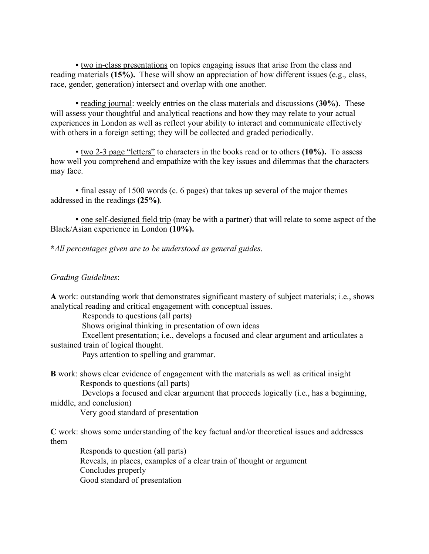▪ two in-class presentations on topics engaging issues that arise from the class and reading materials **(15%).** These will show an appreciation of how different issues (e.g., class, race, gender, generation) intersect and overlap with one another.

▪ reading journal: weekly entries on the class materials and discussions **(30%)**. These will assess your thoughtful and analytical reactions and how they may relate to your actual experiences in London as well as reflect your ability to interact and communicate effectively with others in a foreign setting; they will be collected and graded periodically.

▪ two 2-3 page "letters" to characters in the books read or to others **(10%).** To assess how well you comprehend and empathize with the key issues and dilemmas that the characters may face.

▪ final essay of 1500 words (c. 6 pages) that takes up several of the major themes addressed in the readings **(25%)**.

• one self-designed field trip (may be with a partner) that will relate to some aspect of the Black/Asian experience in London **(10%).** 

**\****All percentages given are to be understood as general guides*.

# *Grading Guidelines*:

**A** work: outstanding work that demonstrates significant mastery of subject materials; i.e., shows analytical reading and critical engagement with conceptual issues.

Responds to questions (all parts)

Shows original thinking in presentation of own ideas

 Excellent presentation; i.e., develops a focused and clear argument and articulates a sustained train of logical thought.

Pays attention to spelling and grammar.

**B** work: shows clear evidence of engagement with the materials as well as critical insight Responds to questions (all parts)

 Develops a focused and clear argument that proceeds logically (i.e., has a beginning, middle, and conclusion)

Very good standard of presentation

**C** work: shows some understanding of the key factual and/or theoretical issues and addresses them

 Responds to question (all parts) Reveals, in places, examples of a clear train of thought or argument Concludes properly Good standard of presentation